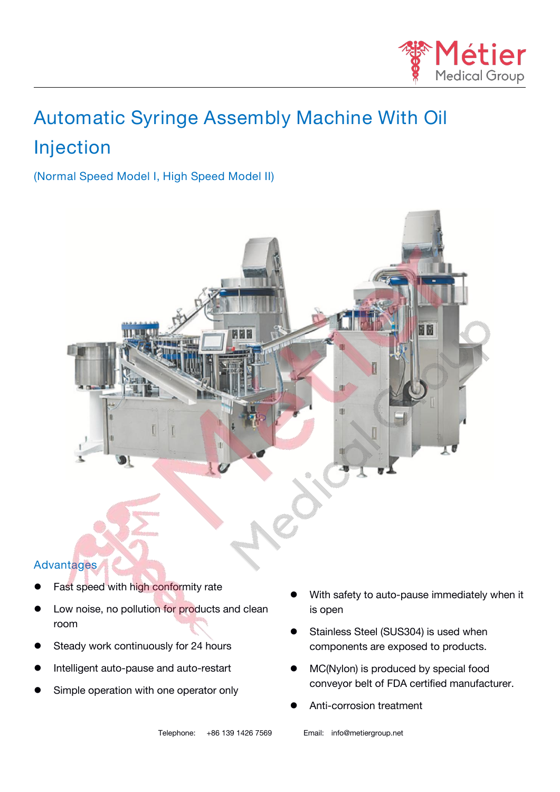

# **Automatic Syringe Assembly Machine With Oil Injection**

## **(Normal Speed Model I, High Speed Model II)**



#### **Advantages**

- Fast speed with high conformity rate
- Low noise, no pollution for products and clean room and the contract of the contract of the contract of the contract of the contract of the contract of the contract of the contract of the contract of the contract of the contract of the contract of the contract of the c
- Steady work continuously for 24 hours
- Intelligent auto-pause and auto-restart
- Simple operation with one operator only
- With safety to auto-pause immediately when it is open
- Stainless Steel (SUS304) is used when components are exposed to products.
- MC(Nylon) is produced by special food conveyor belt of FDA certified manufacturer.
- Anti-corrosion treatment